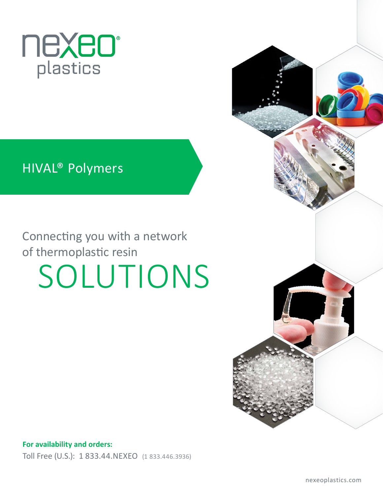

## HIVAL® Polymers

# Connecting you with a network of thermoplastic resin SOLUTIONS



**For availability and orders:** Toll Free (U.S.): 1 833.44.NEXEO (1 833.446.3936)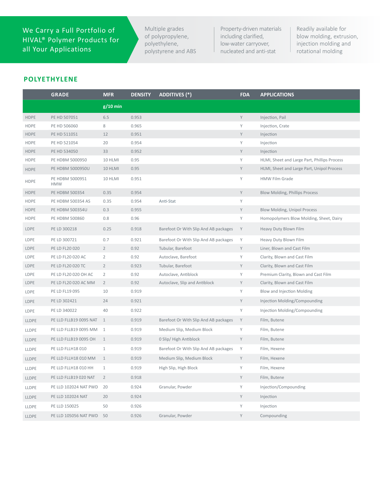We Carry a Full Portfolio of HIVAL® Polymer Products for all Your Applications

Multiple grades of polypropylene, polyethylene, polystyrene and ABS Property-driven materials including clarified, low-water carryover, nucleated and anti-stat

Readily available for blow molding, extrusion, injection molding and rotational molding

### **POLYETHYLENE**

|              | <b>GRADE</b>                  | <b>MFR</b>     | <b>DENSITY</b> | <b>ADDITIVES (*)</b>                  | <b>FDA</b> | <b>APPLICATIONS</b>                          |
|--------------|-------------------------------|----------------|----------------|---------------------------------------|------------|----------------------------------------------|
|              |                               | $g/10$ min     |                |                                       |            |                                              |
| <b>HDPE</b>  | PE HD 507051                  | 6.5            | 0.953          |                                       | Y          | Injection, Pail                              |
| <b>HDPE</b>  | PE HD 506060                  | 8              | 0.965          |                                       | Υ          | Injection, Crate                             |
| <b>HDPE</b>  | PE HD 511051                  | 12             | 0.951          |                                       | Υ          | Injection                                    |
| <b>HDPE</b>  | PE HD 521054                  | 20             | 0.954          |                                       | Υ          | Injection                                    |
| <b>HDPE</b>  | PE HD 534050                  | 33             | 0.952          |                                       | Υ          | Injection                                    |
| <b>HDPE</b>  | PE HDBM 5000950               | 10 HLMI        | 0.95           |                                       | Υ          | HLMI, Sheet and Large Part, Phillips Process |
| <b>HDPE</b>  | PE HDBM 5000950U              | 10 HLMI        | 0.95           |                                       | Y          | HLMI, Sheet and Large Part, Unipol Process   |
| <b>HDPE</b>  | PE HDBM 5000951<br><b>HMW</b> | 10 HLMI        | 0.951          |                                       | Υ          | <b>HMW Film Grade</b>                        |
| <b>HDPE</b>  | PE HDBM 500354                | 0.35           | 0.954          |                                       | Υ          | Blow Molding, Phillips Process               |
| <b>HDPE</b>  | PE HDBM 500354 AS             | 0.35           | 0.954          | Anti-Stat                             | Υ          |                                              |
| <b>HDPE</b>  | PE HDBM 500354U               | 0.3            | 0.955          |                                       | Υ          | Blow Molding, Unipol Process                 |
| <b>HDPE</b>  | PE HDBM 500860                | 0.8            | 0.96           |                                       | Υ          | Homopolymers Blow Molding, Sheet, Dairy      |
| LDPE         | PE LD 300218                  | 0.25           | 0.918          | Barefoot Or With Slip And AB packages | Y          | Heavy Duty Blown Film                        |
| LDPE         | PE LD 300721                  | 0.7            | 0.921          | Barefoot Or With Slip And AB packages | Υ          | Heavy Duty Blown Film                        |
| <b>LDPE</b>  | PE LD FL20 020                | $\overline{2}$ | 0.92           | Tubular, Barefoot                     | Υ          | Liner, Blown and Cast Film                   |
| LDPE         | PE LD FL20 020 AC             | $\overline{2}$ | 0.92           | Autoclave, Barefoot                   | Υ          | Clarity, Blown and Cast Film                 |
| LDPE         | PE LD FL20 020 TC             | $\overline{2}$ | 0.923          | Tubular, Barefoot                     | Υ          | Clarity, Blown and Cast Film                 |
| <b>LDPE</b>  | PE LD FL20 020 OH AC          | $\overline{2}$ | 0.92           | Autoclave, Antiblock                  | Υ          | Premium Clarity, Blown and Cast Film         |
| <b>LDPE</b>  | PE LD FL20 020 AC MM          | $\overline{2}$ | 0.92           | Autoclave, Slip and Antiblock         | Υ          | Clarity, Blown and Cast Film                 |
| LDPE         | PE LD FL19 095                | 10             | 0.919          |                                       | Υ          | Blow and Injection Molding                   |
| LDPE         | PE LD 302421                  | 24             | 0.921          |                                       | Υ          | Injection Molding/Compounding                |
| LDPE         | PE LD 340022                  | 40             | 0.922          |                                       | Υ          | Injection Molding/Compounding                |
| LLDPE        | PE LLD FLLB19 0095 NAT        | 1              | 0.919          | Barefoot Or With Slip And AB packages | Y          | Film, Butene                                 |
| LLDPE        | PE LLD FLLB19 0095 MM 1       |                | 0.919          | Medium Slip, Medium Block             | Υ          | Film, Butene                                 |
| <b>LLDPE</b> | PE LLD FLLB19 0095 OH         | 1              | 0.919          | 0 Slip/ High Antiblock                | Υ          | Film, Butene                                 |
| LLDPE        | PE LLD FLLH18 010             | $\mathbf{1}$   | 0.919          | Barefoot Or With Slip And AB packages | Υ          | Film, Hexene                                 |
| LLDPE        | PE LLD FLLH18 010 MM          | $\mathbf{1}$   | 0.919          | Medium Slip, Medium Block             | Υ          | Film, Hexene                                 |
| LLDPE        | PE LLD FLLH18 010 HH          | $\mathbf{1}$   | 0.919          | High Slip, High Block                 | Υ          | Film, Hexene                                 |
| LLDPE        | PE LLD FLLB19 020 NAT         | $\overline{2}$ | 0.918          |                                       | Y          | Film, Butene                                 |
| LLDPE        | PE LLD 102024 NAT PWD         | 20             | 0.924          | Granular, Powder                      | Υ          | Injection/Compounding                        |
| <b>LLDPE</b> | PE LLD 102024 NAT             | 20             | 0.924          |                                       | Y          | Injection                                    |
| LLDPE        | PE LLD 150025                 | 50             | 0.926          |                                       | Υ          | Injection                                    |
| <b>LLDPE</b> | PE LLD 105056 NAT PWD         | 50             | 0.926          | Granular, Powder                      | Y          | Compounding                                  |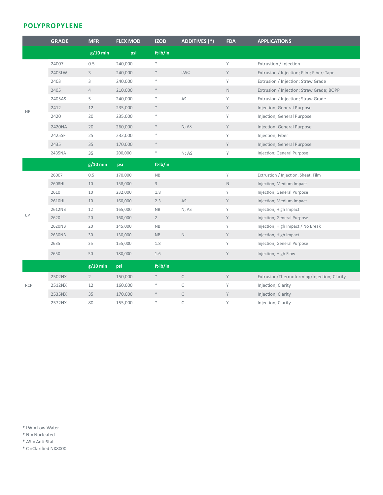### **POLYPROPYLENE**

|            | <b>GRADE</b> | <b>MFR</b>     | <b>FLEX MOD</b> | <b>IZOD</b>  | <b>ADDITIVES (*)</b> | <b>FDA</b>  | <b>APPLICATIONS</b>                        |
|------------|--------------|----------------|-----------------|--------------|----------------------|-------------|--------------------------------------------|
|            |              | $g/10$ min     | psi             | ft·lb/in     |                      |             |                                            |
|            | 24007        | 0.5            | 240,000         | $\ast$       |                      | Y           | Extrustion / Injection                     |
|            | 2403LW       | $\mathbf{3}$   | 240,000         | $\ast$       | <b>LWC</b>           | Y           | Extrusion / Injection; Film; Fiber; Tape   |
|            | 2403         | 3              | 240,000         | $\ast$       |                      | Υ           | Extrusion / Injection; Straw Grade         |
|            | 2405         | $\overline{4}$ | 210,000         | $\ast$       |                      | $\mathbb N$ | Extrusion / Injection; Straw Grade; BOPP   |
| HP         | 2405AS       | 5              | 240,000         | $\ast$       | AS                   | Y           | Extrusion / Injection; Straw Grade         |
|            | 2412         | 12             | 235,000         | $\ast$       |                      | Y           | Injection; General Purpose                 |
|            | 2420         | 20             | 235,000         | $\ast$       |                      | Υ           | Injection; General Purpose                 |
|            | 2420NA       | 20             | 260,000         | $\ast$       | N; AS                | Y           | Injection; General Purpose                 |
|            | 2425SF       | 25             | 232,000         | $\ast$       |                      | Υ           | Injection; Fiber                           |
|            | 2435         | 35             | 170,000         | $\ast$       |                      | Y           | Injection; General Purpose                 |
|            | 2435NA       | 35             | 200,000         | $\ast$       | N; AS                | Υ           | Injection; General Purpose                 |
|            |              | $g/10$ min     | psi             | ft·lb/in     |                      |             |                                            |
|            | 26007        | 0.5            | 170,000         | NB           |                      | Y           | Extrustion / Injection, Sheet, Film        |
|            | 2608HI       | 10             | 158,000         | $\mathsf{3}$ |                      | $\mathsf N$ | Injection; Medium Impact                   |
|            | 2610         | 10             | 232,000         | 1.8          |                      | Υ           | Injection; General Purpose                 |
|            | 2610HI       | 10             | 160,000         | 2.3          | AS                   | Y           | Injection; Medium Impact                   |
|            | 2612NB       | 12             | 165,000         | NB           | N; AS                | Υ           | Injection, High Impact                     |
| CP         | 2620         | 20             | 160,000         | $2^{\circ}$  |                      | Y           | Injection; General Purpose                 |
|            | 2620NB       | 20             | 145,000         | NB           |                      | Y           | Injection; High Impact / No Break          |
|            | 2630NB       | 30             | 130,000         | <b>NB</b>    | $\mathbb N$          | Y           | Injection, High Impact                     |
|            | 2635         | 35             | 155,000         | 1.8          |                      | Υ           | Injection; General Purpose                 |
|            | 2650         | 50             | 180,000         | 1.6          |                      | Y           | Injection; High Flow                       |
|            |              | $g/10$ min     | psi             | ft·lb/in     |                      |             |                                            |
|            | 2502NX       | $2^{\circ}$    | 150,000         | $\ast$       | $\mathsf C$          | Y           | Extrusion/Thermoforming/Injection; Clarity |
| <b>RCP</b> | 2512NX       | 12             | 160,000         | $\ast$       | $\mathsf C$          | Υ           | Injection; Clarity                         |
|            | 2535NX       | 35             | 170,000         | $\ast$       | $\mathsf C$          | Y           | Injection; Clarity                         |
|            | 2572NX       | 80             | 155,000         | $\ast$       | $\mathsf{C}$         | Υ           | Injection; Clarity                         |

\* LW = Low Water

\* N = Nucleated

\* AS = Anti-Stat

\* C =Clarified NX8000